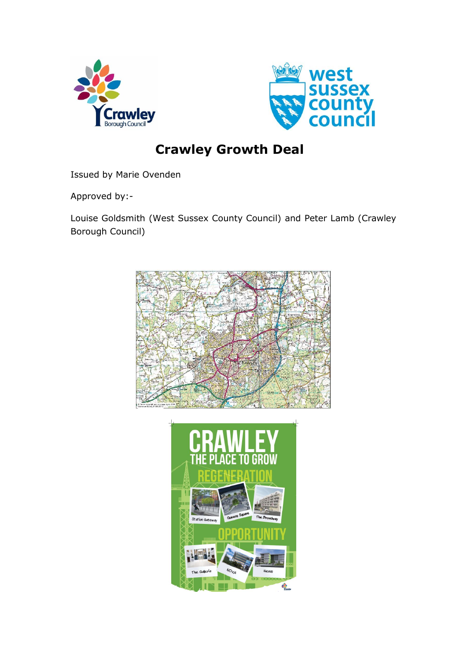



# **Crawley Growth Deal**

Issued by Marie Ovenden

Approved by:-

Louise Goldsmith (West Sussex County Council) and Peter Lamb (Crawley Borough Council)



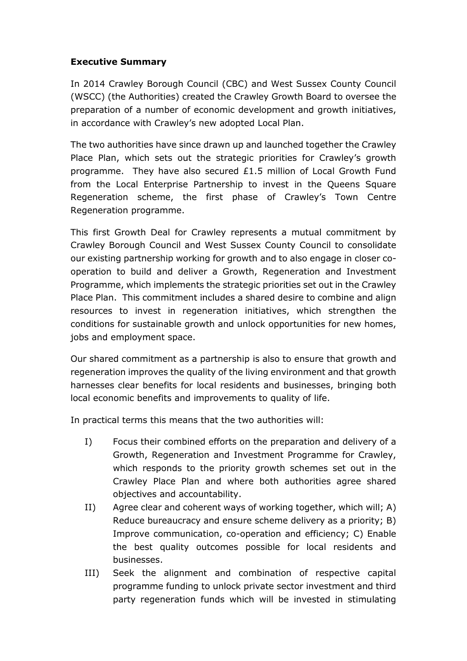#### **Executive Summary**

In 2014 Crawley Borough Council (CBC) and West Sussex County Council (WSCC) (the Authorities) created the Crawley Growth Board to oversee the preparation of a number of economic development and growth initiatives, in accordance with Crawley's new adopted Local Plan.

The two authorities have since drawn up and launched together the Crawley Place Plan, which sets out the strategic priorities for Crawley's growth programme. They have also secured £1.5 million of Local Growth Fund from the Local Enterprise Partnership to invest in the Queens Square Regeneration scheme, the first phase of Crawley's Town Centre Regeneration programme.

This first Growth Deal for Crawley represents a mutual commitment by Crawley Borough Council and West Sussex County Council to consolidate our existing partnership working for growth and to also engage in closer cooperation to build and deliver a Growth, Regeneration and Investment Programme, which implements the strategic priorities set out in the Crawley Place Plan. This commitment includes a shared desire to combine and align resources to invest in regeneration initiatives, which strengthen the conditions for sustainable growth and unlock opportunities for new homes, jobs and employment space.

Our shared commitment as a partnership is also to ensure that growth and regeneration improves the quality of the living environment and that growth harnesses clear benefits for local residents and businesses, bringing both local economic benefits and improvements to quality of life.

In practical terms this means that the two authorities will:

- I) Focus their combined efforts on the preparation and delivery of a Growth, Regeneration and Investment Programme for Crawley, which responds to the priority growth schemes set out in the Crawley Place Plan and where both authorities agree shared objectives and accountability.
- II) Agree clear and coherent ways of working together, which will; A) Reduce bureaucracy and ensure scheme delivery as a priority; B) Improve communication, co-operation and efficiency; C) Enable the best quality outcomes possible for local residents and businesses.
- III) Seek the alignment and combination of respective capital programme funding to unlock private sector investment and third party regeneration funds which will be invested in stimulating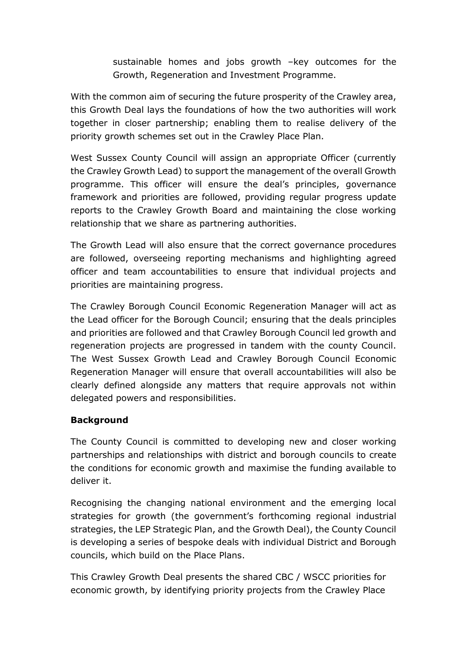sustainable homes and jobs growth –key outcomes for the Growth, Regeneration and Investment Programme.

With the common aim of securing the future prosperity of the Crawley area, this Growth Deal lays the foundations of how the two authorities will work together in closer partnership; enabling them to realise delivery of the priority growth schemes set out in the Crawley Place Plan.

West Sussex County Council will assign an appropriate Officer (currently the Crawley Growth Lead) to support the management of the overall Growth programme. This officer will ensure the deal's principles, governance framework and priorities are followed, providing regular progress update reports to the Crawley Growth Board and maintaining the close working relationship that we share as partnering authorities.

The Growth Lead will also ensure that the correct governance procedures are followed, overseeing reporting mechanisms and highlighting agreed officer and team accountabilities to ensure that individual projects and priorities are maintaining progress.

The Crawley Borough Council Economic Regeneration Manager will act as the Lead officer for the Borough Council; ensuring that the deals principles and priorities are followed and that Crawley Borough Council led growth and regeneration projects are progressed in tandem with the county Council. The West Sussex Growth Lead and Crawley Borough Council Economic Regeneration Manager will ensure that overall accountabilities will also be clearly defined alongside any matters that require approvals not within delegated powers and responsibilities.

### **Background**

The County Council is committed to developing new and closer working partnerships and relationships with district and borough councils to create the conditions for economic growth and maximise the funding available to deliver it.

Recognising the changing national environment and the emerging local strategies for growth (the government's forthcoming regional industrial strategies, the LEP Strategic Plan, and the Growth Deal), the County Council is developing a series of bespoke deals with individual District and Borough councils, which build on the Place Plans.

This Crawley Growth Deal presents the shared CBC / WSCC priorities for economic growth, by identifying priority projects from the Crawley Place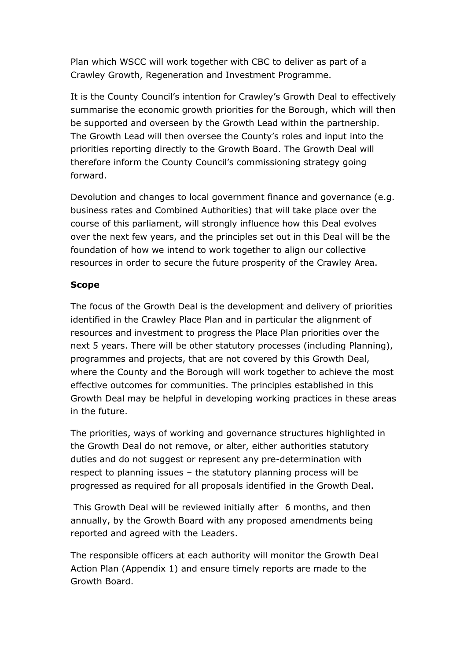Plan which WSCC will work together with CBC to deliver as part of a Crawley Growth, Regeneration and Investment Programme.

It is the County Council's intention for Crawley's Growth Deal to effectively summarise the economic growth priorities for the Borough, which will then be supported and overseen by the Growth Lead within the partnership. The Growth Lead will then oversee the County's roles and input into the priorities reporting directly to the Growth Board. The Growth Deal will therefore inform the County Council's commissioning strategy going forward.

Devolution and changes to local government finance and governance (e.g. business rates and Combined Authorities) that will take place over the course of this parliament, will strongly influence how this Deal evolves over the next few years, and the principles set out in this Deal will be the foundation of how we intend to work together to align our collective resources in order to secure the future prosperity of the Crawley Area.

#### **Scope**

The focus of the Growth Deal is the development and delivery of priorities identified in the Crawley Place Plan and in particular the alignment of resources and investment to progress the Place Plan priorities over the next 5 years. There will be other statutory processes (including Planning), programmes and projects, that are not covered by this Growth Deal, where the County and the Borough will work together to achieve the most effective outcomes for communities. The principles established in this Growth Deal may be helpful in developing working practices in these areas in the future.

The priorities, ways of working and governance structures highlighted in the Growth Deal do not remove, or alter, either authorities statutory duties and do not suggest or represent any pre-determination with respect to planning issues – the statutory planning process will be progressed as required for all proposals identified in the Growth Deal.

This Growth Deal will be reviewed initially after 6 months, and then annually, by the Growth Board with any proposed amendments being reported and agreed with the Leaders.

The responsible officers at each authority will monitor the Growth Deal Action Plan (Appendix 1) and ensure timely reports are made to the Growth Board.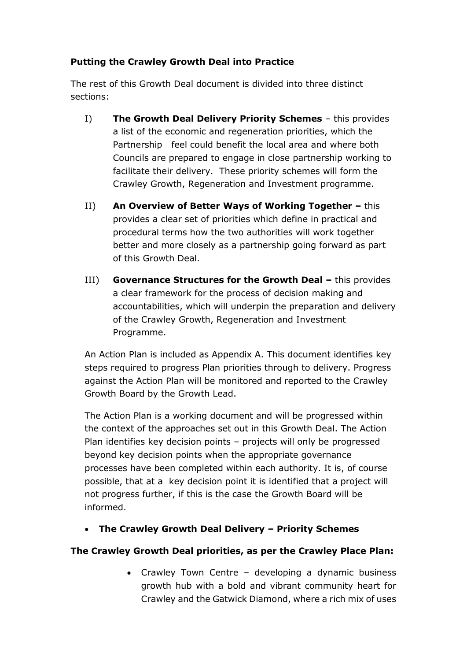## **Putting the Crawley Growth Deal into Practice**

The rest of this Growth Deal document is divided into three distinct sections:

- I) **The Growth Deal Delivery Priority Schemes** this provides a list of the economic and regeneration priorities, which the Partnership feel could benefit the local area and where both Councils are prepared to engage in close partnership working to facilitate their delivery. These priority schemes will form the Crawley Growth, Regeneration and Investment programme.
- II) **An Overview of Better Ways of Working Together this** provides a clear set of priorities which define in practical and procedural terms how the two authorities will work together better and more closely as a partnership going forward as part of this Growth Deal.
- **III) Governance Structures for the Growth Deal –** this provides a clear framework for the process of decision making and accountabilities, which will underpin the preparation and delivery of the Crawley Growth, Regeneration and Investment Programme.

An Action Plan is included as Appendix A. This document identifies key steps required to progress Plan priorities through to delivery. Progress against the Action Plan will be monitored and reported to the Crawley Growth Board by the Growth Lead.

The Action Plan is a working document and will be progressed within the context of the approaches set out in this Growth Deal. The Action Plan identifies key decision points – projects will only be progressed beyond key decision points when the appropriate governance processes have been completed within each authority. It is, of course possible, that at a key decision point it is identified that a project will not progress further, if this is the case the Growth Board will be informed.

**The Crawley Growth Deal Delivery – Priority Schemes**

# **The Crawley Growth Deal priorities, as per the Crawley Place Plan:**

• Crawley Town Centre - developing a dynamic business growth hub with a bold and vibrant community heart for Crawley and the Gatwick Diamond, where a rich mix of uses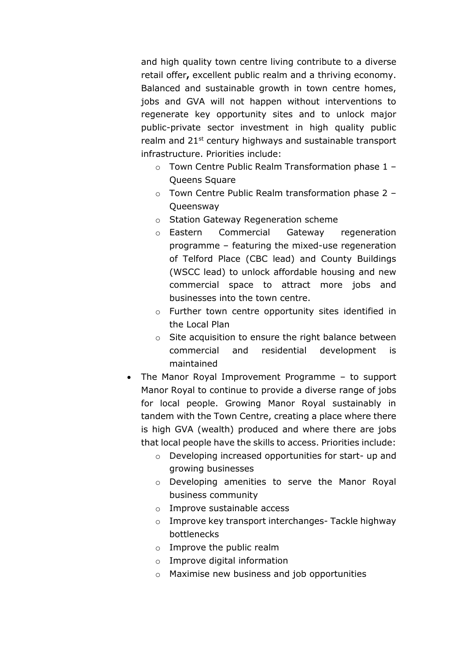and high quality town centre living contribute to a diverse retail offer**,** excellent public realm and a thriving economy. Balanced and sustainable growth in town centre homes, jobs and GVA will not happen without interventions to regenerate key opportunity sites and to unlock major public-private sector investment in high quality public realm and 21<sup>st</sup> century highways and sustainable transport infrastructure. Priorities include:

- o Town Centre Public Realm Transformation phase 1 Queens Square
- o Town Centre Public Realm transformation phase 2 **Queensway**
- o Station Gateway Regeneration scheme
- o Eastern Commercial Gateway regeneration programme – featuring the mixed-use regeneration of Telford Place (CBC lead) and County Buildings (WSCC lead) to unlock affordable housing and new commercial space to attract more jobs and businesses into the town centre.
- o Further town centre opportunity sites identified in the Local Plan
- o Site acquisition to ensure the right balance between commercial and residential development is maintained
- The Manor Royal Improvement Programme to support Manor Royal to continue to provide a diverse range of jobs for local people. Growing Manor Royal sustainably in tandem with the Town Centre, creating a place where there is high GVA (wealth) produced and where there are jobs that local people have the skills to access. Priorities include:
	- o Developing increased opportunities for start- up and growing businesses
	- o Developing amenities to serve the Manor Royal business community
	- o Improve sustainable access
	- o Improve key transport interchanges- Tackle highway bottlenecks
	- o Improve the public realm
	- o Improve digital information
	- o Maximise new business and job opportunities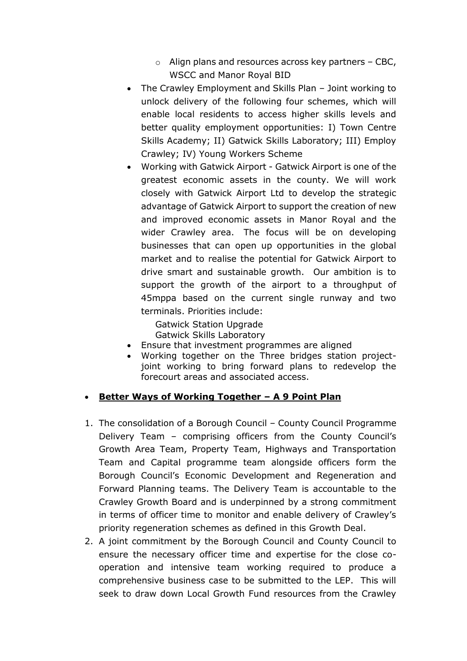- o Align plans and resources across key partners CBC, WSCC and Manor Royal BID
- The Crawley Employment and Skills Plan Joint working to unlock delivery of the following four schemes, which will enable local residents to access higher skills levels and better quality employment opportunities: I) Town Centre Skills Academy; II) Gatwick Skills Laboratory; III) Employ Crawley; IV) Young Workers Scheme
- Working with Gatwick Airport Gatwick Airport is one of the greatest economic assets in the county. We will work closely with Gatwick Airport Ltd to develop the strategic advantage of Gatwick Airport to support the creation of new and improved economic assets in Manor Royal and the wider Crawley area. The focus will be on developing businesses that can open up opportunities in the global market and to realise the potential for Gatwick Airport to drive smart and sustainable growth. Our ambition is to support the growth of the airport to a throughput of 45mppa based on the current single runway and two terminals. Priorities include:

Gatwick Station Upgrade Gatwick Skills Laboratory

- Ensure that investment programmes are aligned
- Working together on the Three bridges station projectjoint working to bring forward plans to redevelop the forecourt areas and associated access.

### **Better Ways of Working Together – A 9 Point Plan**

- 1. The consolidation of a Borough Council County Council Programme Delivery Team – comprising officers from the County Council's Growth Area Team, Property Team, Highways and Transportation Team and Capital programme team alongside officers form the Borough Council's Economic Development and Regeneration and Forward Planning teams. The Delivery Team is accountable to the Crawley Growth Board and is underpinned by a strong commitment in terms of officer time to monitor and enable delivery of Crawley's priority regeneration schemes as defined in this Growth Deal.
- 2. A joint commitment by the Borough Council and County Council to ensure the necessary officer time and expertise for the close cooperation and intensive team working required to produce a comprehensive business case to be submitted to the LEP. This will seek to draw down Local Growth Fund resources from the Crawley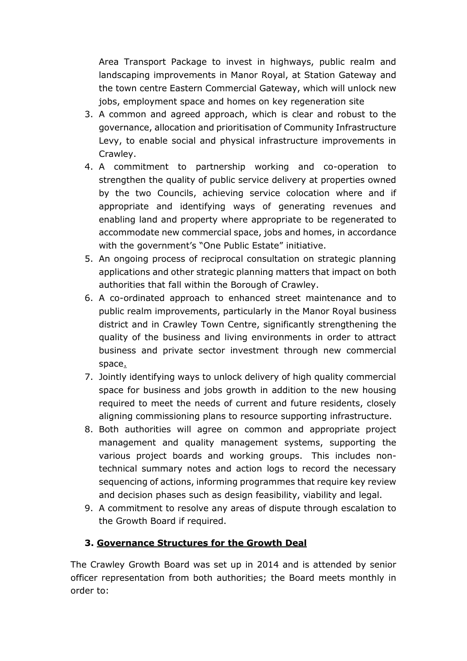Area Transport Package to invest in highways, public realm and landscaping improvements in Manor Royal, at Station Gateway and the town centre Eastern Commercial Gateway, which will unlock new jobs, employment space and homes on key regeneration site

- 3. A common and agreed approach, which is clear and robust to the governance, allocation and prioritisation of Community Infrastructure Levy, to enable social and physical infrastructure improvements in Crawley.
- 4. A commitment to partnership working and co-operation to strengthen the quality of public service delivery at properties owned by the two Councils, achieving service colocation where and if appropriate and identifying ways of generating revenues and enabling land and property where appropriate to be regenerated to accommodate new commercial space, jobs and homes, in accordance with the government's "One Public Estate" initiative.
- 5. An ongoing process of reciprocal consultation on strategic planning applications and other strategic planning matters that impact on both authorities that fall within the Borough of Crawley.
- 6. A co-ordinated approach to enhanced street maintenance and to public realm improvements, particularly in the Manor Royal business district and in Crawley Town Centre, significantly strengthening the quality of the business and living environments in order to attract business and private sector investment through new commercial space.
- 7. Jointly identifying ways to unlock delivery of high quality commercial space for business and jobs growth in addition to the new housing required to meet the needs of current and future residents, closely aligning commissioning plans to resource supporting infrastructure.
- 8. Both authorities will agree on common and appropriate project management and quality management systems, supporting the various project boards and working groups. This includes nontechnical summary notes and action logs to record the necessary sequencing of actions, informing programmes that require key review and decision phases such as design feasibility, viability and legal.
- 9. A commitment to resolve any areas of dispute through escalation to the Growth Board if required.

# **3. Governance Structures for the Growth Deal**

The Crawley Growth Board was set up in 2014 and is attended by senior officer representation from both authorities; the Board meets monthly in order to: